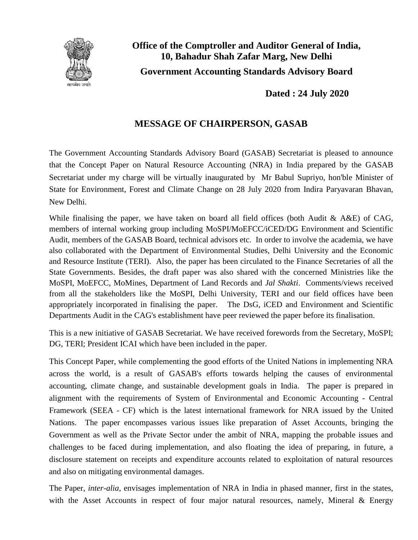

**Office of the Comptroller and Auditor General of India, 10, Bahadur Shah Zafar Marg, New Delhi Government Accounting Standards Advisory Board**

**Dated : 24 July 2020**

## **MESSAGE OF CHAIRPERSON, GASAB**

The Government Accounting Standards Advisory Board (GASAB) Secretariat is pleased to announce that the Concept Paper on Natural Resource Accounting (NRA) in India prepared by the GASAB Secretariat under my charge will be virtually inaugurated by Mr Babul Supriyo, hon'ble Minister of State for Environment, Forest and Climate Change on 28 July 2020 from Indira Paryavaran Bhavan, New Delhi.

While finalising the paper, we have taken on board all field offices (both Audit  $\&$  A&E) of CAG, members of internal working group including MoSPI/MoEFCC/iCED/DG Environment and Scientific Audit, members of the GASAB Board, technical advisors etc. In order to involve the academia, we have also collaborated with the Department of Environmental Studies, Delhi University and the Economic and Resource Institute (TERI). Also, the paper has been circulated to the Finance Secretaries of all the State Governments. Besides, the draft paper was also shared with the concerned Ministries like the MoSPI, MoEFCC, MoMines, Department of Land Records and *Jal Shakti*. Comments/views received from all the stakeholders like the MoSPI, Delhi University, TERI and our field offices have been appropriately incorporated in finalising the paper. The DsG, iCED and Environment and Scientific Departments Audit in the CAG's establishment have peer reviewed the paper before its finalisation.

This is a new initiative of GASAB Secretariat. We have received forewords from the Secretary, MoSPI; DG, TERI; President ICAI which have been included in the paper.

This Concept Paper, while complementing the good efforts of the United Nations in implementing NRA across the world, is a result of GASAB's efforts towards helping the causes of environmental accounting, climate change, and sustainable development goals in India. The paper is prepared in alignment with the requirements of System of Environmental and Economic Accounting - Central Framework (SEEA - CF) which is the latest international framework for NRA issued by the United Nations. The paper encompasses various issues like preparation of Asset Accounts, bringing the Government as well as the Private Sector under the ambit of NRA, mapping the probable issues and challenges to be faced during implementation, and also floating the idea of preparing, in future, a disclosure statement on receipts and expenditure accounts related to exploitation of natural resources and also on mitigating environmental damages.

The Paper, *inter-alia*, envisages implementation of NRA in India in phased manner, first in the states, with the Asset Accounts in respect of four major natural resources, namely, Mineral  $\&$  Energy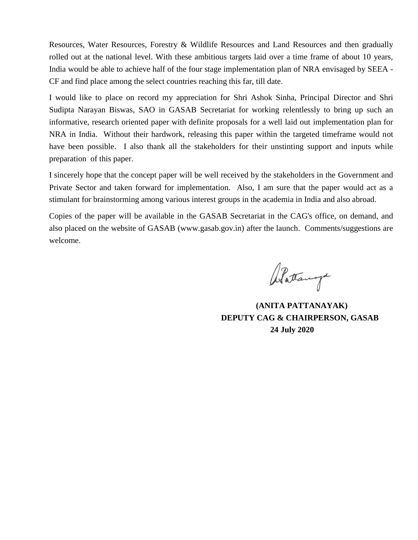Resources, Water Resources, Forestry & Wildlife Resources and Land Resources and then gradually rolled out at the national level. With these ambitious targets laid over a time frame of about 10 years, India would be able to achieve half of the four stage implementation plan of NRA envisaged by SEEA - CF and find place among the select countries reaching this far, till date.

I would like to place on record my appreciation for Shri Ashok Sinha, Principal Director and Shri Sudipta Narayan Biswas, SAO in GASAB Secretariat for working relentlessly to bring up such an informative, research oriented paper with definite proposals for a well laid out implementation plan for NRA in India. Without their hardwork, releasing this paper within the targeted timeframe would not have been possible. I also thank all the stakeholders for their unstinting support and inputs while preparation of this paper.

I sincerely hope that the concept paper will be well received by the stakeholders in the Government and Private Sector and taken forward for implementation. Also, I am sure that the paper would act as a stimulant for brainstorming among various interest groups in the academia in India and also abroad.

Copies of the paper will be available in the GASAB Secretariat in the CAG's office, on demand, and also placed on the website of GASAB (www.gasab.gov.in) after the launch. Comments/suggestions are welcome.

Battanga

 **(ANITA PATTANAYAK) DEPUTY CAG & CHAIRPERSON, GASAB 24 July 2020**